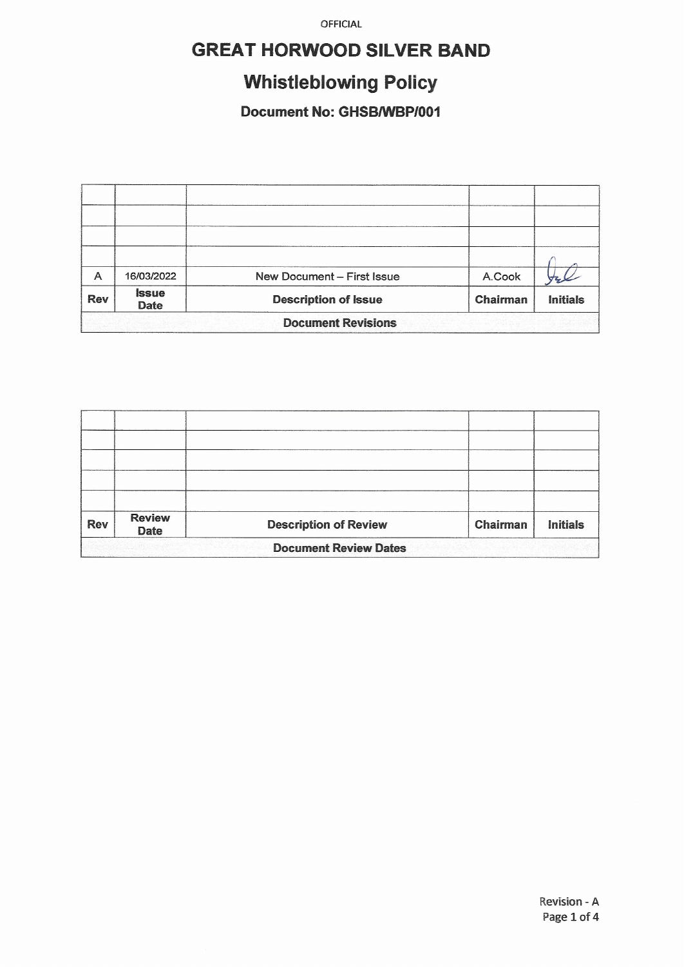# **GREAT HORWOOD SILVER BAND**

# **Whistleblowing Policy**

### Document No: GHSB/WBP/001

| A                         | 16/03/2022                         | New Document - First Issue  | A.Cook          |                 |  |  |
|---------------------------|------------------------------------|-----------------------------|-----------------|-----------------|--|--|
| <b>Rev</b>                | <i><b>Issue</b></i><br><b>Date</b> | <b>Description of Issue</b> | <b>Chairman</b> | <b>Initials</b> |  |  |
| <b>Document Revisions</b> |                                    |                             |                 |                 |  |  |

| <b>Rev</b>                   | <b>Review</b><br><b>Date</b> | <b>Description of Review</b> | Chairman | <b>Initials</b> |  |  |
|------------------------------|------------------------------|------------------------------|----------|-----------------|--|--|
| <b>Document Review Dates</b> |                              |                              |          |                 |  |  |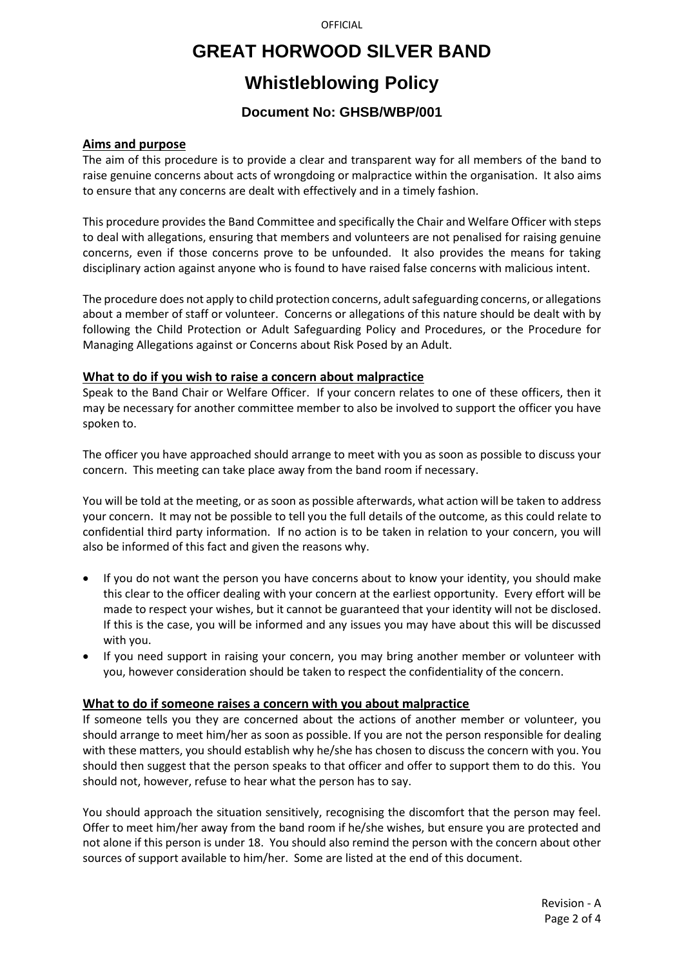### **GREAT HORWOOD SILVER BAND**

## **Whistleblowing Policy**

### **Document No: GHSB/WBP/001**

#### **Aims and purpose**

The aim of this procedure is to provide a clear and transparent way for all members of the band to raise genuine concerns about acts of wrongdoing or malpractice within the organisation. It also aims to ensure that any concerns are dealt with effectively and in a timely fashion.

This procedure provides the Band Committee and specifically the Chair and Welfare Officer with steps to deal with allegations, ensuring that members and volunteers are not penalised for raising genuine concerns, even if those concerns prove to be unfounded. It also provides the means for taking disciplinary action against anyone who is found to have raised false concerns with malicious intent.

The procedure does not apply to child protection concerns, adult safeguarding concerns, or allegations about a member of staff or volunteer. Concerns or allegations of this nature should be dealt with by following the Child Protection or Adult Safeguarding Policy and Procedures, or the Procedure for Managing Allegations against or Concerns about Risk Posed by an Adult.

#### **What to do if you wish to raise a concern about malpractice**

Speak to the Band Chair or Welfare Officer. If your concern relates to one of these officers, then it may be necessary for another committee member to also be involved to support the officer you have spoken to.

The officer you have approached should arrange to meet with you as soon as possible to discuss your concern. This meeting can take place away from the band room if necessary.

You will be told at the meeting, or as soon as possible afterwards, what action will be taken to address your concern. It may not be possible to tell you the full details of the outcome, as this could relate to confidential third party information. If no action is to be taken in relation to your concern, you will also be informed of this fact and given the reasons why.

- If you do not want the person you have concerns about to know your identity, you should make this clear to the officer dealing with your concern at the earliest opportunity. Every effort will be made to respect your wishes, but it cannot be guaranteed that your identity will not be disclosed. If this is the case, you will be informed and any issues you may have about this will be discussed with you.
- If you need support in raising your concern, you may bring another member or volunteer with you, however consideration should be taken to respect the confidentiality of the concern.

### **What to do if someone raises a concern with you about malpractice**

If someone tells you they are concerned about the actions of another member or volunteer, you should arrange to meet him/her as soon as possible. If you are not the person responsible for dealing with these matters, you should establish why he/she has chosen to discuss the concern with you. You should then suggest that the person speaks to that officer and offer to support them to do this. You should not, however, refuse to hear what the person has to say.

You should approach the situation sensitively, recognising the discomfort that the person may feel. Offer to meet him/her away from the band room if he/she wishes, but ensure you are protected and not alone if this person is under 18. You should also remind the person with the concern about other sources of support available to him/her. Some are listed at the end of this document.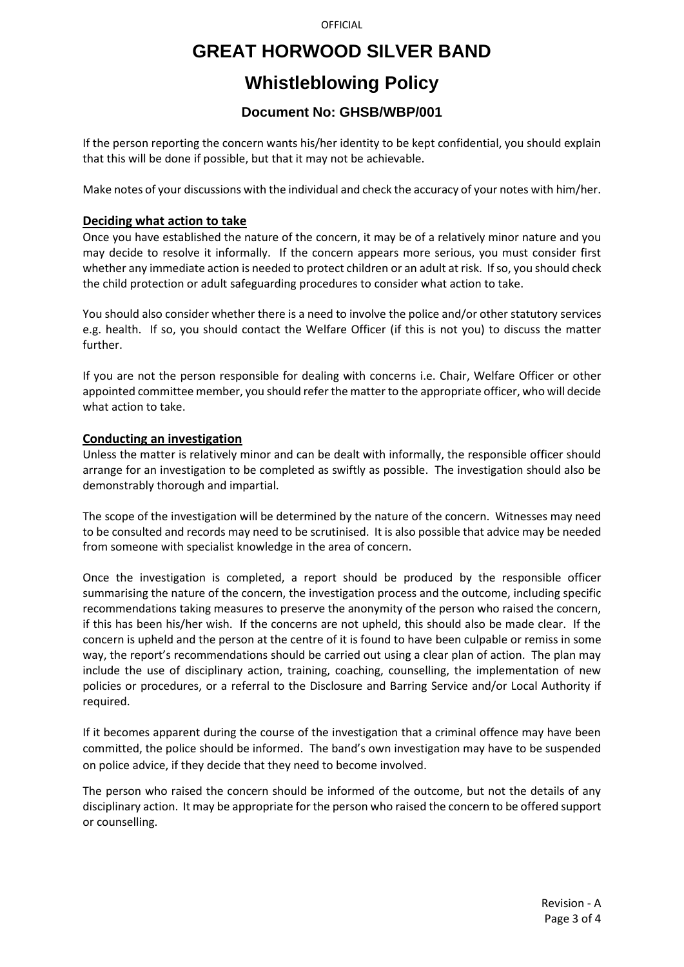## **GREAT HORWOOD SILVER BAND**

# **Whistleblowing Policy**

### **Document No: GHSB/WBP/001**

If the person reporting the concern wants his/her identity to be kept confidential, you should explain that this will be done if possible, but that it may not be achievable.

Make notes of your discussions with the individual and check the accuracy of your notes with him/her.

### **Deciding what action to take**

Once you have established the nature of the concern, it may be of a relatively minor nature and you may decide to resolve it informally. If the concern appears more serious, you must consider first whether any immediate action is needed to protect children or an adult at risk. If so, you should check the child protection or adult safeguarding procedures to consider what action to take.

You should also consider whether there is a need to involve the police and/or other statutory services e.g. health. If so, you should contact the Welfare Officer (if this is not you) to discuss the matter further.

If you are not the person responsible for dealing with concerns i.e. Chair, Welfare Officer or other appointed committee member, you should refer the matter to the appropriate officer, who will decide what action to take.

### **Conducting an investigation**

Unless the matter is relatively minor and can be dealt with informally, the responsible officer should arrange for an investigation to be completed as swiftly as possible. The investigation should also be demonstrably thorough and impartial.

The scope of the investigation will be determined by the nature of the concern. Witnesses may need to be consulted and records may need to be scrutinised. It is also possible that advice may be needed from someone with specialist knowledge in the area of concern.

Once the investigation is completed, a report should be produced by the responsible officer summarising the nature of the concern, the investigation process and the outcome, including specific recommendations taking measures to preserve the anonymity of the person who raised the concern, if this has been his/her wish. If the concerns are not upheld, this should also be made clear. If the concern is upheld and the person at the centre of it is found to have been culpable or remiss in some way, the report's recommendations should be carried out using a clear plan of action. The plan may include the use of disciplinary action, training, coaching, counselling, the implementation of new policies or procedures, or a referral to the Disclosure and Barring Service and/or Local Authority if required.

If it becomes apparent during the course of the investigation that a criminal offence may have been committed, the police should be informed. The band's own investigation may have to be suspended on police advice, if they decide that they need to become involved.

The person who raised the concern should be informed of the outcome, but not the details of any disciplinary action. It may be appropriate for the person who raised the concern to be offered support or counselling.